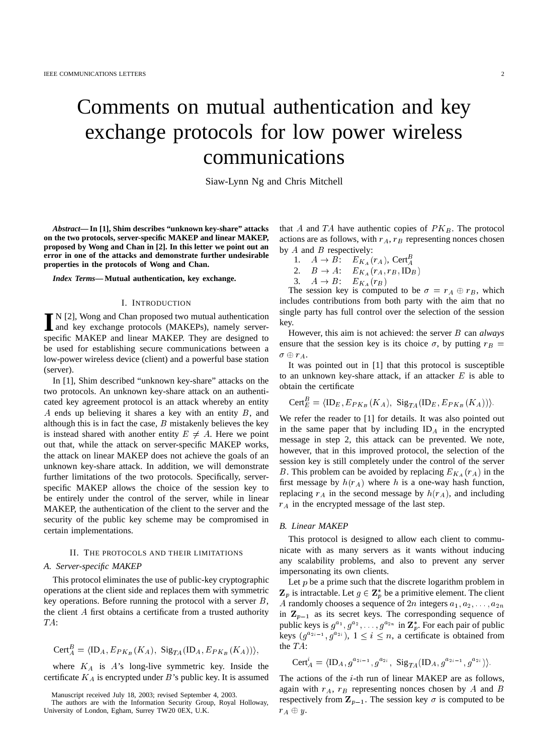# Comments on mutual authentication and key exchange protocols for low power wireless communications

Siaw-Lynn Ng and Chris Mitchell

*Abstract***— In [1], Shim describes "unknown key-share" attacks on the two protocols, server-specific MAKEP and linear MAKEP, proposed by Wong and Chan in [2]. In this letter we point out an error in one of the attacks and demonstrate further undesirable properties in the protocols of Wong and Chan.**

*Index Terms***— Mutual authentication, key exchange.**

### I. INTRODUCTION

I<sup>N</sup> [2], Wong and Chan proposed two mutual authentication<br>and key exchange protocols (MAKEPs), namely serverand key exchange protocols (MAKEPs), namely serverspecific MAKEP and linear MAKEP. They are designed to be used for establishing secure communications between a low-power wireless device (client) and a powerful base station (server).

In [1], Shim described "unknown key-share" attacks on the two protocols. An unknown key-share attack on an authenticated key agreement protocol is an attack whereby an entity A ends up believing it shares a key with an entity B, and although this is in fact the case,  $B$  mistakenly believes the key is instead shared with another entity  $E \neq A$ . Here we point out that, while the attack on server-specific MAKEP works, the attack on linear MAKEP does not achieve the goals of an unknown key-share attack. In addition, we will demonstrate further limitations of the two protocols. Specifically, serverspecific MAKEP allows the choice of the session key to be entirely under the control of the server, while in linear MAKEP, the authentication of the client to the server and the security of the public key scheme may be compromised in certain implementations.

# II. THE PROTOCOLS AND THEIR LIMITATIONS

## *A. Server-specific MAKEP*

This protocol eliminates the use of public-key cryptographic operations at the client side and replaces them with symmetric key operations. Before running the protocol with a server  $B$ , the client A first obtains a certificate from a trusted authority TA:

$$
\mathsf{Cert}_{A}^{B} = \langle \mathsf{ID}_{A}, E_{PK_B}(K_A), \ \mathsf{Sig}_{TA}(\mathsf{ID}_{A}, E_{PK_B}(K_A)) \rangle,
$$

where  $K_A$  is  $A$ 's long-live symmetric key. Inside the certificate  $K_A$  is encrypted under  $B$ 's public key. It is assumed that A and TA have authentic copies of  $PK_B$ . The protocol actions are as follows, with  $r_A$ ,  $r_B$  representing nonces chosen by  $A$  and  $B$  respectively:

- 1.  $A \rightarrow B$ :  $E_{K_A}(r_A)$ , Cert<sub>A</sub>
- 2.  $B \rightarrow A: E_{K_A}(r_A, r_B, ID_B)$
- 3.  $A \rightarrow B: E_{K_A}(r_B)$

The session key is computed to be  $\sigma = r_A \oplus r_B$ , which includes contributions from both party with the aim that no single party has full control over the selection of the session key.

However, this aim is not achieved: the server B can *always* ensure that the session key is its choice  $\sigma$ , by putting  $r_B$  =  $\sigma\oplus r_A$ .

It was pointed out in [1] that this protocol is susceptible to an unknown key-share attack, if an attacker  $E$  is able to obtain the certificate

$$
\mathsf{Cert}^B_E = \langle \mathsf{ID}_E, E_{PK_B}(K_A), \ \mathsf{Sig}_{TA}(\mathsf{ID}_E, E_{PK_B}(K_A)) \rangle.
$$

We refer the reader to [1] for details. It was also pointed out in the same paper that by including  $ID<sub>A</sub>$  in the encrypted message in step 2, this attack can be prevented. We note, however, that in this improved protocol, the selection of the session key is still completely under the control of the server B. This problem can be avoided by replacing  $E_{K_A}(r_A)$  in the first message by  $h(r_A)$  where h is a one-way hash function, replacing  $r_A$  in the second message by  $h(r_A)$ , and including  $r_A$  in the encrypted message of the last step.

## *B. Linear MAKEP*

This protocol is designed to allow each client to communicate with as many servers as it wants without inducing any scalability problems, and also to prevent any server impersonating its own clients.

Let  $p$  be a prime such that the discrete logarithm problem in  $\mathbf{Z}_p$  is intractable. Let  $g \in \mathbf{Z}_p^*$  be a primitive element. The client A randomly chooses a sequence of  $2n$  integers  $a_1, a_2, \ldots, a_{2n}$ in  $\mathbf{Z}_{p-1}$  as its secret keys. The corresponding sequence of public keys is  $g^{a_1}, g^{a_2}, \ldots, g^{a_{2n}}$  in  $\mathbf{Z}_p^*$ . For each pair of public keys  $(g^{a_{2i-1}}, g^{a_{2i}}), 1 \leq i \leq n$ , a certificate is obtained from the TA:

$$
Cert_A^i = \langle ID_A, g^{a_{2i-1}}, g^{a_{2i}}, \ \text{Sig}_{TA} (ID_A, g^{a_{2i-1}}, g^{a_{2i}}) \rangle.
$$

The actions of the i-th run of linear MAKEP are as follows, again with  $r_A$ ,  $r_B$  representing nonces chosen by A and B respectively from  $\mathbf{Z}_{p-1}$ . The session key  $\sigma$  is computed to be  $r_A \oplus y$ .

Manuscript received July 18, 2003; revised September 4, 2003.

The authors are with the Information Security Group, Royal Holloway, University of London, Egham, Surrey TW20 0EX, U.K.